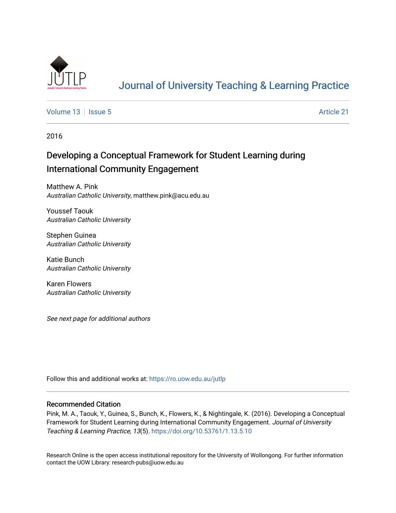

# [Journal of University Teaching & Learning Practice](https://ro.uow.edu.au/jutlp)

[Volume 13](https://ro.uow.edu.au/jutlp/vol13) | [Issue 5](https://ro.uow.edu.au/jutlp/vol13/iss5) Article 21

2016

# Developing a Conceptual Framework for Student Learning during International Community Engagement

Matthew A. Pink Australian Catholic University, matthew.pink@acu.edu.au

Youssef Taouk Australian Catholic University

Stephen Guinea Australian Catholic University

Katie Bunch Australian Catholic University

Karen Flowers Australian Catholic University

See next page for additional authors

Follow this and additional works at: [https://ro.uow.edu.au/jutlp](https://ro.uow.edu.au/jutlp?utm_source=ro.uow.edu.au%2Fjutlp%2Fvol13%2Fiss5%2F21&utm_medium=PDF&utm_campaign=PDFCoverPages) 

#### Recommended Citation

Pink, M. A., Taouk, Y., Guinea, S., Bunch, K., Flowers, K., & Nightingale, K. (2016). Developing a Conceptual Framework for Student Learning during International Community Engagement. Journal of University Teaching & Learning Practice, 13(5).<https://doi.org/10.53761/1.13.5.10>

Research Online is the open access institutional repository for the University of Wollongong. For further information contact the UOW Library: research-pubs@uow.edu.au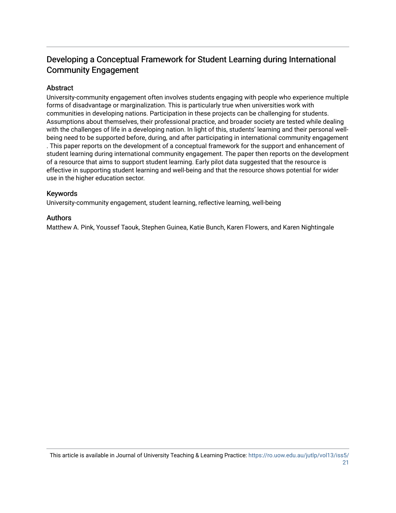# Developing a Conceptual Framework for Student Learning during International Community Engagement

## Abstract

University-community engagement often involves students engaging with people who experience multiple forms of disadvantage or marginalization. This is particularly true when universities work with communities in developing nations. Participation in these projects can be challenging for students. Assumptions about themselves, their professional practice, and broader society are tested while dealing with the challenges of life in a developing nation. In light of this, students' learning and their personal wellbeing need to be supported before, during, and after participating in international community engagement . This paper reports on the development of a conceptual framework for the support and enhancement of student learning during international community engagement. The paper then reports on the development of a resource that aims to support student learning. Early pilot data suggested that the resource is effective in supporting student learning and well-being and that the resource shows potential for wider use in the higher education sector.

## Keywords

University-community engagement, student learning, reflective learning, well-being

### Authors

Matthew A. Pink, Youssef Taouk, Stephen Guinea, Katie Bunch, Karen Flowers, and Karen Nightingale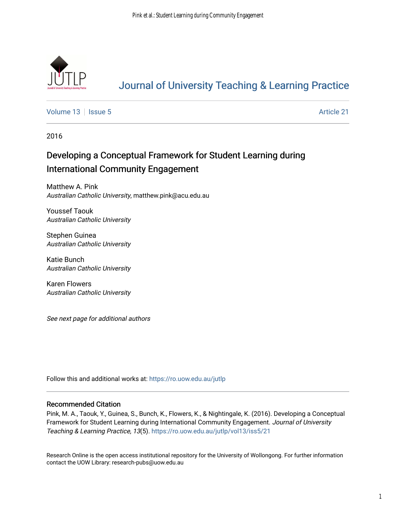

# [Journal of University Teaching & Learning Practice](https://ro.uow.edu.au/jutlp)

[Volume 13](https://ro.uow.edu.au/jutlp/vol13) | [Issue 5](https://ro.uow.edu.au/jutlp/vol13/iss5) Article 21

2016

# Developing a Conceptual Framework for Student Learning during International Community Engagement

Matthew A. Pink Australian Catholic University, matthew.pink@acu.edu.au

Youssef Taouk Australian Catholic University

Stephen Guinea Australian Catholic University

Katie Bunch Australian Catholic University

Karen Flowers Australian Catholic University

See next page for additional authors

Follow this and additional works at: [https://ro.uow.edu.au/jutlp](https://ro.uow.edu.au/jutlp?utm_source=ro.uow.edu.au%2Fjutlp%2Fvol13%2Fiss5%2F21&utm_medium=PDF&utm_campaign=PDFCoverPages) 

#### Recommended Citation

Pink, M. A., Taouk, Y., Guinea, S., Bunch, K., Flowers, K., & Nightingale, K. (2016). Developing a Conceptual Framework for Student Learning during International Community Engagement. Journal of University Teaching & Learning Practice, 13(5). [https://ro.uow.edu.au/jutlp/vol13/iss5/21](https://ro.uow.edu.au/jutlp/vol13/iss5/21?utm_source=ro.uow.edu.au%2Fjutlp%2Fvol13%2Fiss5%2F21&utm_medium=PDF&utm_campaign=PDFCoverPages) 

Research Online is the open access institutional repository for the University of Wollongong. For further information contact the UOW Library: research-pubs@uow.edu.au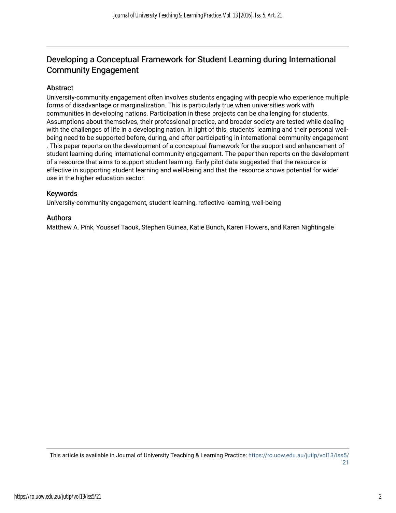# Developing a Conceptual Framework for Student Learning during International Community Engagement

## Abstract

University-community engagement often involves students engaging with people who experience multiple forms of disadvantage or marginalization. This is particularly true when universities work with communities in developing nations. Participation in these projects can be challenging for students. Assumptions about themselves, their professional practice, and broader society are tested while dealing with the challenges of life in a developing nation. In light of this, students' learning and their personal wellbeing need to be supported before, during, and after participating in international community engagement . This paper reports on the development of a conceptual framework for the support and enhancement of student learning during international community engagement. The paper then reports on the development of a resource that aims to support student learning. Early pilot data suggested that the resource is effective in supporting student learning and well-being and that the resource shows potential for wider use in the higher education sector.

## Keywords

University-community engagement, student learning, reflective learning, well-being

### Authors

Matthew A. Pink, Youssef Taouk, Stephen Guinea, Katie Bunch, Karen Flowers, and Karen Nightingale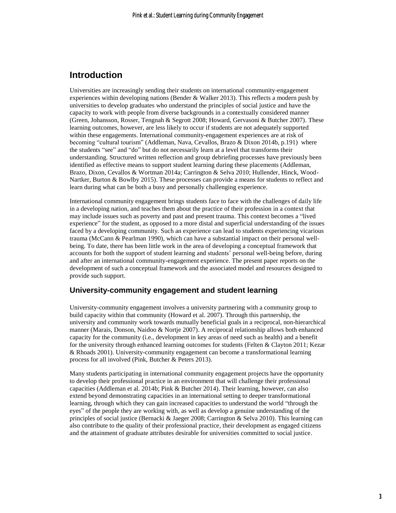# **Introduction**

Universities are increasingly sending their students on international community-engagement experiences within developing nations (Bender & Walker 2013). This reflects a modern push by universities to develop graduates who understand the principles of social justice and have the capacity to work with people from diverse backgrounds in a contextually considered manner (Green, Johansson, Rosser, Tengnah & Segrott 2008; Howard, Gervasoni & Butcher 2007). These learning outcomes, however, are less likely to occur if students are not adequately supported within these engagements. International community-engagement experiences are at risk of becoming "cultural tourism" (Addleman, Nava, Cevallos, Brazo & Dixon 2014b, p.191) where the students "see" and "do" but do not necessarily learn at a level that transforms their understanding. Structured written reflection and group debriefing processes have previously been identified as effective means to support student learning during these placements (Addleman, Brazo, Dixon, Cevallos & Wortman 2014a; Carrington & Selva 2010; Hullender, Hinck, Wood-Nartker, Burton & Bowlby 2015). These processes can provide a means for students to reflect and learn during what can be both a busy and personally challenging experience.

International community engagement brings students face to face with the challenges of daily life in a developing nation, and teaches them about the practice of their profession in a context that may include issues such as poverty and past and present trauma. This context becomes a "lived experience" for the student, as opposed to a more distal and superficial understanding of the issues faced by a developing community. Such an experience can lead to students experiencing vicarious trauma (McCann & Pearlman 1990), which can have a substantial impact on their personal wellbeing. To date, there has been little work in the area of developing a conceptual framework that accounts for both the support of student learning and students' personal well-being before, during and after an international community-engagement experience. The present paper reports on the development of such a conceptual framework and the associated model and resources designed to provide such support.

## **University-community engagement and student learning**

University-community engagement involves a university partnering with a community group to build capacity within that community (Howard et al. 2007). Through this partnership, the university and community work towards mutually beneficial goals in a reciprocal, non-hierarchical manner (Marais, Donson, Naidoo & Nortje 2007). A reciprocal relationship allows both enhanced capacity for the community (i.e., development in key areas of need such as health) and a benefit for the university through enhanced learning outcomes for students (Felten & Clayton 2011; Kezar & Rhoads 2001). University-community engagement can become a transformational learning process for all involved (Pink, Butcher & Peters 2013).

Many students participating in international community engagement projects have the opportunity to develop their professional practice in an environment that will challenge their professional capacities (Addleman et al. 2014b; Pink & Butcher 2014). Their learning, however, can also extend beyond demonstrating capacities in an international setting to deeper transformational learning, through which they can gain increased capacities to understand the world "through the eyes" of the people they are working with, as well as develop a genuine understanding of the principles of social justice (Bernacki & Jaeger 2008; Carrington & Selva 2010). This learning can also contribute to the quality of their professional practice, their development as engaged citizens and the attainment of graduate attributes desirable for universities committed to social justice.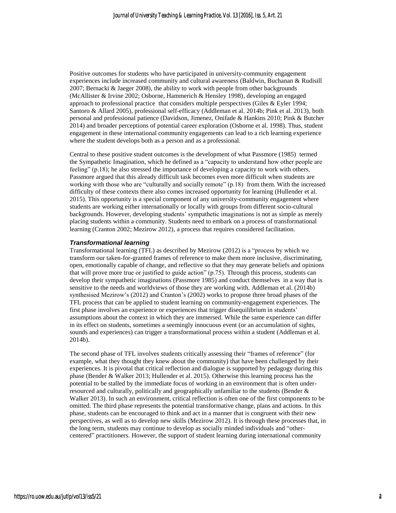Positive outcomes for students who have participated in university-community engagement experiences include increased community and cultural awareness (Baldwin, Buchanan & Rudisill 2007; Bernacki & Jaeger 2008), the ability to work with people from other backgrounds (McAllister & Irvine 2002; Osborne, Hammerich & Hensley 1998), developing an engaged approach to professional practice that considers multiple perspectives (Giles & Eyler 1994; Santoro & Allard 2005), professional self-efficacy (Addleman et al. 2014b; Pink et al. 2013), both personal and professional patience (Davidson, Jimenez, Onifade & Hankins 2010; Pink & Butcher 2014) and broader perceptions of potential career exploration (Osborne et al. 1998). Thus, student engagement in these international community engagements can lead to a rich learning experience where the student develops both as a person and as a professional.

Central to these positive student outcomes is the development of what Passmore (1985) termed the Sympathetic Imagination, which he defined as a "capacity to understand how other people are feeling" (p.18); he also stressed the importance of developing a capacity to work with others. Passmore argued that this already difficult task becomes even more difficult when students are working with those who are "culturally and socially remote" (p.18) from them. With the increased difficulty of these contexts there also comes increased opportunity for learning (Hullender et al. 2015). This opportunity is a special component of any university-community engagement where students are working either internationally or locally with groups from different socio-cultural backgrounds. However, developing students' sympathetic imaginations is not as simple as merely placing students within a community. Students need to embark on a process of transformational learning (Cranton 2002; Mezirow 2012), a process that requires considered facilitation.

#### *Transformational learning*

Transformational learning (TFL) as described by Mezirow (2012) is a "process by which we transform our taken-for-granted frames of reference to make them more inclusive, discriminating, open, emotionally capable of change, and reflective so that they may generate beliefs and opinions that will prove more true or justified to guide action" (p.75). Through this process, students can develop their sympathetic imaginations (Passmore 1985) and conduct themselves in a way that is sensitive to the needs and worldviews of those they are working with. Addleman et al. (2014b) synthesised Mezirow's (2012) and Cranton's (2002) works to propose three broad phases of the TFL process that can be applied to student learning on community-engagement experiences. The first phase involves an experience or experiences that trigger disequilibrium in students' assumptions about the context in which they are immersed. While the same experience can differ in its effect on students, sometimes a seemingly innocuous event (or an accumulation of sights, sounds and experiences) can trigger a transformational process within a student (Addleman et al. 2014b).

The second phase of TFL involves students critically assessing their "frames of reference" (for example, what they thought they knew about the community) that have been challenged by their experiences. It is pivotal that critical reflection and dialogue is supported by pedagogy during this phase (Bender & Walker 2013; Hullender et al. 2015). Otherwise this learning process has the potential to be stalled by the immediate focus of working in an environment that is often underresourced and culturally, politically and geographically unfamiliar to the students (Bender & Walker 2013). In such an environment, critical reflection is often one of the first components to be omitted. The third phase represents the potential transformative change, plans and actions. In this phase, students can be encouraged to think and act in a manner that is congruent with their new perspectives, as well as to develop new skills (Mezirow 2012). It is through these processes that, in the long term, students may continue to develop as socially minded individuals and "othercentered" practitioners. However, the support of student learning during international community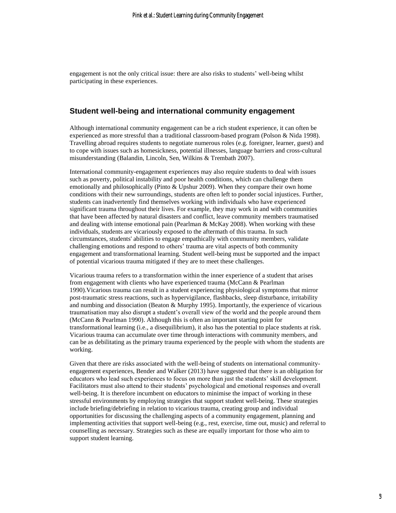engagement is not the only critical issue: there are also risks to students' well-being whilst participating in these experiences.

#### **Student well-being and international community engagement**

Although international community engagement can be a rich student experience, it can often be experienced as more stressful than a traditional classroom-based program (Polson & Nida 1998). Travelling abroad requires students to negotiate numerous roles (e.g. foreigner, learner, guest) and to cope with issues such as homesickness, potential illnesses, language barriers and cross-cultural misunderstanding (Balandin, Lincoln, Sen, Wilkins & Trembath 2007).

International community-engagement experiences may also require students to deal with issues such as poverty, political instability and poor health conditions, which can challenge them emotionally and philosophically (Pinto & Upshur 2009). When they compare their own home conditions with their new surroundings, students are often left to ponder social injustices. Further, students can inadvertently find themselves working with individuals who have experienced significant trauma throughout their lives. For example, they may work in and with communities that have been affected by natural disasters and conflict, leave community members traumatised and dealing with intense emotional pain (Pearlman & McKay 2008). When working with these individuals, students are vicariously exposed to the aftermath of this trauma. In such circumstances, students' abilities to engage empathically with community members, validate challenging emotions and respond to others' trauma are vital aspects of both community engagement and transformational learning. Student well-being must be supported and the impact of potential vicarious trauma mitigated if they are to meet these challenges.

Vicarious trauma refers to a transformation within the inner experience of a student that arises from engagement with clients who have experienced trauma (McCann & Pearlman 1990).Vicarious trauma can result in a student experiencing physiological symptoms that mirror post-traumatic stress reactions, such as hypervigilance, flashbacks, sleep disturbance, irritability and numbing and dissociation (Beaton & Murphy 1995). Importantly, the experience of vicarious traumatisation may also disrupt a student's overall view of the world and the people around them (McCann & Pearlman 1990). Although this is often an important starting point for transformational learning (i.e., a disequilibrium), it also has the potential to place students at risk. Vicarious trauma can accumulate over time through interactions with community members, and can be as debilitating as the primary trauma experienced by the people with whom the students are working.

Given that there are risks associated with the well-being of students on international communityengagement experiences, Bender and Walker (2013) have suggested that there is an obligation for educators who lead such experiences to focus on more than just the students' skill development. Facilitators must also attend to their students' psychological and emotional responses and overall well-being. It is therefore incumbent on educators to minimise the impact of working in these stressful environments by employing strategies that support student well-being. These strategies include briefing/debriefing in relation to vicarious trauma, creating group and individual opportunities for discussing the challenging aspects of a community engagement, planning and implementing activities that support well-being (e.g., rest, exercise, time out, music) and referral to counselling as necessary. Strategies such as these are equally important for those who aim to support student learning.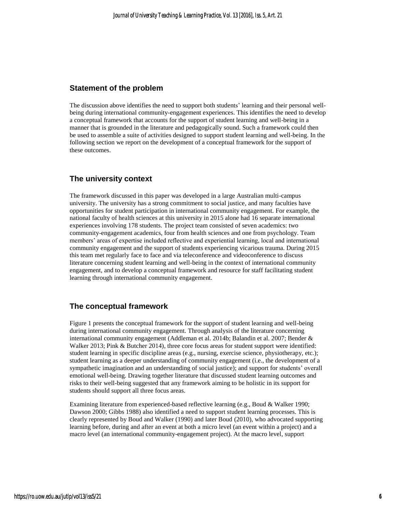### **Statement of the problem**

The discussion above identifies the need to support both students' learning and their personal wellbeing during international community-engagement experiences. This identifies the need to develop a conceptual framework that accounts for the support of student learning and well-being in a manner that is grounded in the literature and pedagogically sound. Such a framework could then be used to assemble a suite of activities designed to support student learning and well-being. In the following section we report on the development of a conceptual framework for the support of these outcomes.

## **The university context**

The framework discussed in this paper was developed in a large Australian multi-campus university. The university has a strong commitment to social justice, and many faculties have opportunities for student participation in international community engagement. For example, the national faculty of health sciences at this university in 2015 alone had 16 separate international experiences involving 178 students. The project team consisted of seven academics: two community-engagement academics, four from health sciences and one from psychology. Team members' areas of expertise included reflective and experiential learning, local and international community engagement and the support of students experiencing vicarious trauma. During 2015 this team met regularly face to face and via teleconference and videoconference to discuss literature concerning student learning and well-being in the context of international community engagement, and to develop a conceptual framework and resource for staff facilitating student learning through international community engagement.

## **The conceptual framework**

Figure 1 presents the conceptual framework for the support of student learning and well-being during international community engagement. Through analysis of the literature concerning international community engagement (Addleman et al. 2014b; Balandin et al. 2007; Bender & Walker 2013; Pink & Butcher 2014), three core focus areas for student support were identified: student learning in specific discipline areas (e.g., nursing, exercise science, physiotherapy, etc.); student learning as a deeper understanding of community engagement (i.e., the development of a sympathetic imagination and an understanding of social justice); and support for students' overall emotional well-being. Drawing together literature that discussed student learning outcomes and risks to their well-being suggested that any framework aiming to be holistic in its support for students should support all three focus areas.

Examining literature from experienced-based reflective learning (e.g., Boud & Walker 1990; Dawson 2000; Gibbs 1988) also identified a need to support student learning processes. This is clearly represented by Boud and Walker (1990) and later Boud (2010), who advocated supporting learning before, during and after an event at both a micro level (an event within a project) and a macro level (an international community-engagement project). At the macro level, support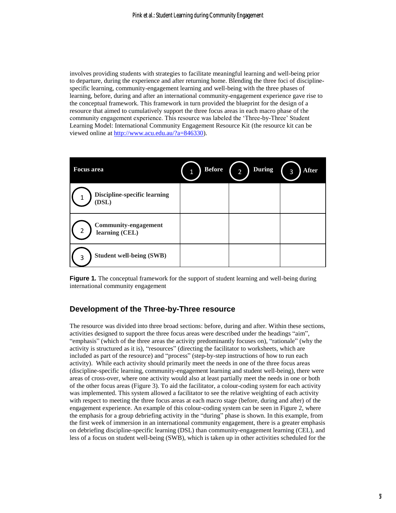involves providing students with strategies to facilitate meaningful learning and well-being prior to departure, during the experience and after returning home. Blending the three foci of disciplinespecific learning, community-engagement learning and well-being with the three phases of learning, before, during and after an international community-engagement experience gave rise to the conceptual framework. This framework in turn provided the blueprint for the design of a resource that aimed to cumulatively support the three focus areas in each macro phase of the community engagement experience. This resource was labeled the 'Three-by-Three' Student Learning Model: International Community Engagement Resource Kit (the resource kit can be viewed online at [http://www.acu.edu.au/?a=846330\)](http://www.acu.edu.au/?a=846330).

| <b>Focus</b> area                                  | <b>Before</b> | <b>During</b><br>$\overline{2}$ | After<br>3 |
|----------------------------------------------------|---------------|---------------------------------|------------|
| <b>Discipline-specific learning</b><br>(DSL)       |               |                                 |            |
| <b>Community-engagement</b><br>2<br>learning (CEL) |               |                                 |            |
| <b>Student well-being (SWB)</b><br>3               |               |                                 |            |

**Figure 1***.* The conceptual framework for the support of student learning and well-being during international community engagement

## **Development of the Three-by-Three resource**

The resource was divided into three broad sections: before, during and after. Within these sections, activities designed to support the three focus areas were described under the headings "aim", "emphasis" (which of the three areas the activity predominantly focuses on), "rationale" (why the activity is structured as it is), "resources" (directing the facilitator to worksheets, which are included as part of the resource) and "process" (step-by-step instructions of how to run each activity). While each activity should primarily meet the needs in one of the three focus areas (discipline-specific learning, community-engagement learning and student well-being), there were areas of cross-over, where one activity would also at least partially meet the needs in one or both of the other focus areas (Figure 3). To aid the facilitator, a colour-coding system for each activity was implemented. This system allowed a facilitator to see the relative weighting of each activity with respect to meeting the three focus areas at each macro stage (before, during and after) of the engagement experience. An example of this colour-coding system can be seen in Figure 2, where the emphasis for a group debriefing activity in the "during" phase is shown. In this example, from the first week of immersion in an international community engagement, there is a greater emphasis on debriefing discipline-specific learning (DSL) than community-engagement learning (CEL), and less of a focus on student well-being (SWB), which is taken up in other activities scheduled for the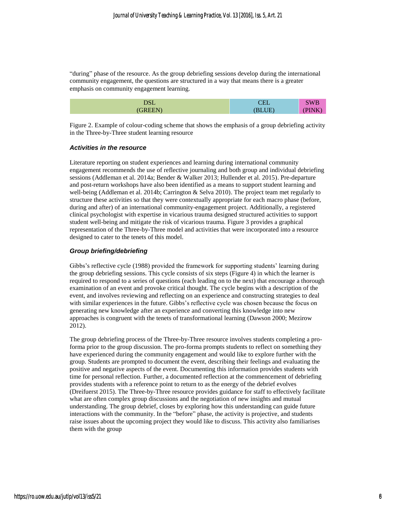"during" phase of the resource. As the group debriefing sessions develop during the international community engagement, the questions are structured in a way that means there is a greater emphasis on community engagement learning.

| $\sqrt{a}$<br>∟טע   | W.<br>77 D<br>∼ |
|---------------------|-----------------|
| - 2<br>$-1 - 1 - 1$ | . .             |

Figure 2. Example of colour-coding scheme that shows the emphasis of a group debriefing activity in the Three-by-Three student learning resource

#### *Activities in the resource*

Literature reporting on student experiences and learning during international community engagement recommends the use of reflective journaling and both group and individual debriefing sessions (Addleman et al. 2014a; Bender & Walker 2013; Hullender et al. 2015). Pre-departure and post-return workshops have also been identified as a means to support student learning and well-being (Addleman et al. 2014b; Carrington & Selva 2010). The project team met regularly to structure these activities so that they were contextually appropriate for each macro phase (before, during and after) of an international community-engagement project. Additionally, a registered clinical psychologist with expertise in vicarious trauma designed structured activities to support student well-being and mitigate the risk of vicarious trauma. Figure 3 provides a graphical representation of the Three-by-Three model and activities that were incorporated into a resource designed to cater to the tenets of this model.

#### *Group briefing/debriefing*

Gibbs's reflective cycle (1988) provided the framework for supporting students' learning during the group debriefing sessions. This cycle consists of six steps (Figure 4) in which the learner is required to respond to a series of questions (each leading on to the next) that encourage a thorough examination of an event and provoke critical thought. The cycle begins with a description of the event, and involves reviewing and reflecting on an experience and constructing strategies to deal with similar experiences in the future. Gibbs's reflective cycle was chosen because the focus on generating new knowledge after an experience and converting this knowledge into new approaches is congruent with the tenets of transformational learning (Dawson 2000; Mezirow 2012).

The group debriefing process of the Three-by-Three resource involves students completing a proforma prior to the group discussion. The pro-forma prompts students to reflect on something they have experienced during the community engagement and would like to explore further with the group. Students are prompted to document the event, describing their feelings and evaluating the positive and negative aspects of the event. Documenting this information provides students with time for personal reflection. Further, a documented reflection at the commencement of debriefing provides students with a reference point to return to as the energy of the debrief evolves (Dreifuerst 2015). The Three-by-Three resource provides guidance for staff to effectively facilitate what are often complex group discussions and the negotiation of new insights and mutual understanding. The group debrief, closes by exploring how this understanding can guide future interactions with the community. In the "before" phase, the activity is projective, and students raise issues about the upcoming project they would like to discuss. This activity also familiarises them with the group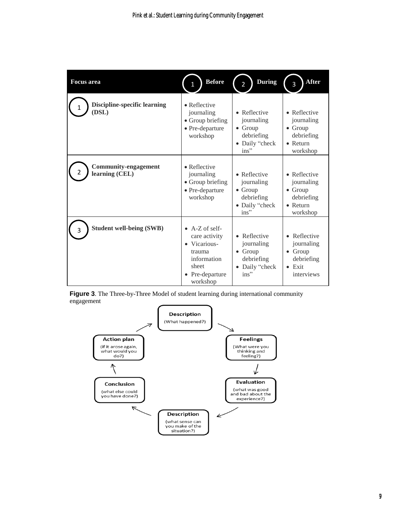| <b>Focus</b> area                             | <b>Before</b>                                                                                                            | <b>During</b><br>$\overline{2}$                                                          | <b>After</b><br>3                                                                           |
|-----------------------------------------------|--------------------------------------------------------------------------------------------------------------------------|------------------------------------------------------------------------------------------|---------------------------------------------------------------------------------------------|
| <b>Discipline-specific learning</b><br>(DSL)  | $\bullet$ Reflective<br>journaling<br>• Group briefing<br>$\bullet$ Pre-departure<br>workshop                            | • Reflective<br>journaling<br>$\bullet$ Group<br>debriefing<br>• Daily "check<br>$ins$ " | • Reflective<br>journaling<br>$\bullet$ Group<br>debriefing<br>$\bullet$ Return<br>workshop |
| <b>Community-engagement</b><br>learning (CEL) | $\bullet$ Reflective<br>journaling<br>• Group briefing<br>$\bullet$ Pre-departure<br>workshop                            | • Reflective<br>journaling<br>$\bullet$ Group<br>debriefing<br>• Daily "check<br>$ins$ " | • Reflective<br>journaling<br>$\bullet$ Group<br>debriefing<br>$\bullet$ Return<br>workshop |
| <b>Student well-being (SWB)</b>               | $\bullet$ A-Z of self-<br>care activity<br>• Vicarious-<br>trauma<br>information<br>sheet<br>• Pre-departure<br>workshop | • Reflective<br>journaling<br>$\bullet$ Group<br>debriefing<br>Daily "check<br>$ins$ "   | • Reflective<br>journaling<br>$\bullet$ Group<br>debriefing<br>$\bullet$ Exit<br>interviews |

**Figure 3**. The Three-by-Three Model of student learning during international community engagement

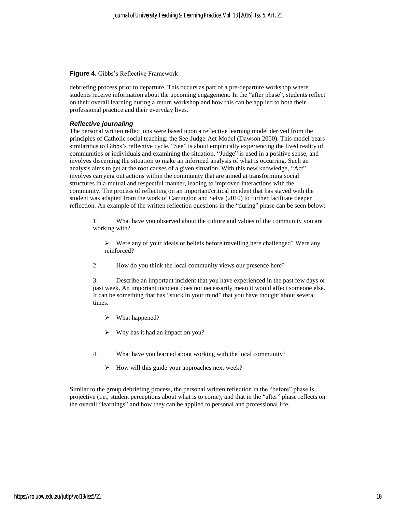#### **Figure 4***.* Gibbs's Reflective Framework

debriefing process prior to departure. This occurs as part of a pre-departure workshop where students receive information about the upcoming engagement. In the "after phase", students reflect on their overall learning during a return workshop and how this can be applied to both their professional practice and their everyday lives.

#### *Reflective journaling*

The personal written reflections were based upon a reflective learning model derived from the principles of Catholic social teaching: the See-Judge-Act Model (Dawson 2000). This model bears similarities to Gibbs's reflective cycle. "See" is about empirically experiencing the lived reality of communities or individuals and examining the situation. "Judge" is used in a positive sense, and involves discerning the situation to make an informed analysis of what is occurring. Such an analysis aims to get at the root causes of a given situation. With this new knowledge, "Act" involves carrying out actions within the community that are aimed at transforming social structures in a mutual and respectful manner, leading to improved interactions with the community. The process of reflecting on an important/critical incident that has stayed with the student was adapted from the work of Carrington and Selva (2010) to further facilitate deeper reflection. An example of the written reflection questions in the "during" phase can be seen below:

1. What have you observed about the culture and values of the community you are working with?

- $\triangleright$  Were any of your ideals or beliefs before travelling here challenged? Were any reinforced?
- 2. How do you think the local community views our presence here?

3. Describe an important incident that you have experienced in the past few days or past week. An important incident does not necessarily mean it would affect someone else. It can be something that has "stuck in your mind" that you have thought about several times.

- What happened?
- $\triangleright$  Why has it had an impact on you?
- 4. What have you learned about working with the local community?
	- $\triangleright$  How will this guide your approaches next week?

Similar to the group debriefing process, the personal written reflection in the "before" phase is projective (i.e., student perceptions about what is to come), and that in the "after" phase reflects on the overall "learnings" and how they can be applied to personal and professional life.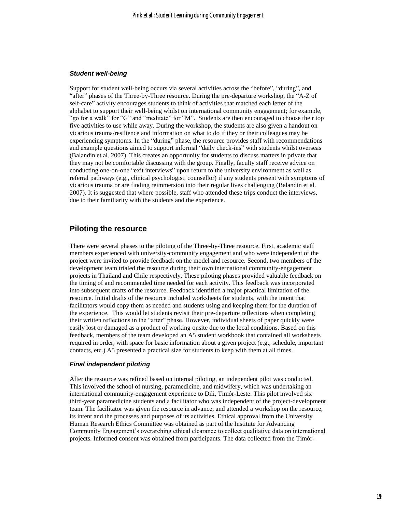#### *Student well-being*

Support for student well-being occurs via several activities across the "before", "during", and "after" phases of the Three-by-Three resource. During the pre-departure workshop, the "A-Z of self-care" activity encourages students to think of activities that matched each letter of the alphabet to support their well-being whilst on international community engagement; for example, "go for a walk" for "G" and "meditate" for "M". Students are then encouraged to choose their top five activities to use while away. During the workshop, the students are also given a handout on vicarious trauma/resilience and information on what to do if they or their colleagues may be experiencing symptoms. In the "during" phase, the resource provides staff with recommendations and example questions aimed to support informal "daily check-ins" with students whilst overseas (Balandin et al. 2007). This creates an opportunity for students to discuss matters in private that they may not be comfortable discussing with the group. Finally, faculty staff receive advice on conducting one-on-one "exit interviews" upon return to the university environment as well as referral pathways (e.g., clinical psychologist, counsellor) if any students present with symptoms of vicarious trauma or are finding reimmersion into their regular lives challenging (Balandin et al. 2007). It is suggested that where possible, staff who attended these trips conduct the interviews, due to their familiarity with the students and the experience.

#### **Piloting the resource**

There were several phases to the piloting of the Three-by-Three resource. First, academic staff members experienced with university-community engagement and who were independent of the project were invited to provide feedback on the model and resource. Second, two members of the development team trialed the resource during their own international community-engagement projects in Thailand and Chile respectively. These piloting phases provided valuable feedback on the timing of and recommended time needed for each activity. This feedback was incorporated into subsequent drafts of the resource. Feedback identified a major practical limitation of the resource. Initial drafts of the resource included worksheets for students, with the intent that facilitators would copy them as needed and students using and keeping them for the duration of the experience. This would let students revisit their pre-departure reflections when completing their written reflections in the "after" phase. However, individual sheets of paper quickly were easily lost or damaged as a product of working onsite due to the local conditions. Based on this feedback, members of the team developed an A5 student workbook that contained all worksheets required in order, with space for basic information about a given project (e.g., schedule, important contacts, etc.) A5 presented a practical size for students to keep with them at all times.

#### *Final independent piloting*

After the resource was refined based on internal piloting, an independent pilot was conducted. This involved the school of nursing, paramedicine, and midwifery, which was undertaking an international community-engagement experience to Dili, Timór-Leste. This pilot involved six third-year paramedicine students and a facilitator who was independent of the project-development team. The facilitator was given the resource in advance, and attended a workshop on the resource, its intent and the processes and purposes of its activities. Ethical approval from the University Human Research Ethics Committee was obtained as part of the Institute for Advancing Community Engagement's overarching ethical clearance to collect qualitative data on international projects. Informed consent was obtained from participants. The data collected from the Timór-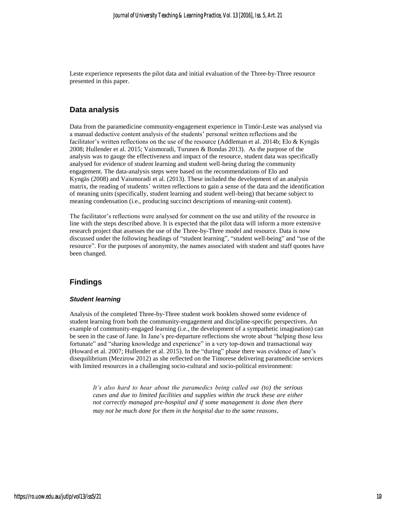Leste experience represents the pilot data and initial evaluation of the Three-by-Three resource presented in this paper.

### **Data analysis**

Data from the paramedicine community-engagement experience in Timór-Leste was analysed via a manual deductive content analysis of the students' personal written reflections and the facilitator's written reflections on the use of the resource (Addleman et al. 2014b; Elo & Kyngäs 2008; Hullender et al. 2015; Vaismoradi, Turunen & Bondas 2013). As the purpose of the analysis was to gauge the effectiveness and impact of the resource, student data was specifically analysed for evidence of student learning and student well-being during the community engagement. The data-analysis steps were based on the recommendations of Elo and Kyngäs (2008) and Vaismoradi et al. (2013). These included the development of an analysis matrix, the reading of students' written reflections to gain a sense of the data and the identification of meaning units (specifically, student learning and student well-being) that became subject to meaning condensation (i.e., producing succinct descriptions of meaning-unit content).

The facilitator's reflections were analysed for comment on the use and utility of the resource in line with the steps described above. It is expected that the pilot data will inform a more extensive research project that assesses the use of the Three-by-Three model and resource. Data is now discussed under the following headings of "student learning", "student well-being" and "use of the resource". For the purposes of anonymity, the names associated with student and staff quotes have been changed.

## **Findings**

#### *Student learning*

Analysis of the completed Three-by-Three student work booklets showed some evidence of student learning from both the community-engagement and discipline-specific perspectives. An example of community-engaged learning (i.e., the development of a sympathetic imagination) can be seen in the case of Jane. In Jane's pre-departure reflections she wrote about "helping those less fortunate" and "sharing knowledge and experience" in a very top-down and transactional way (Howard et al. 2007; Hullender et al. 2015). In the "during" phase there was evidence of Jane's disequilibrium (Mezirow 2012) as she reflected on the Timorese delivering paramedicine services with limited resources in a challenging socio-cultural and socio-political environment:

*It's also hard to hear about the paramedics being called out (to) the serious cases and due to limited facilities and supplies within the truck these are either not correctly managed pre-hospital and if some management is done then there may not be much done for them in the hospital due to the same reasons.*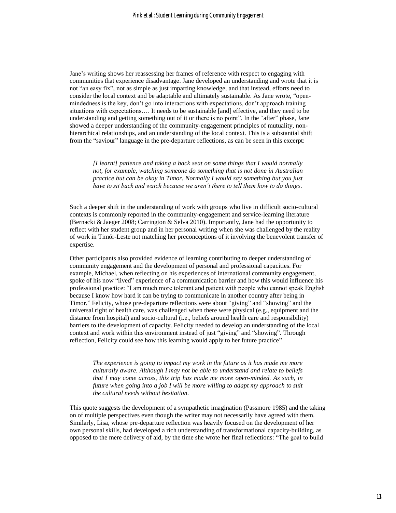Jane's writing shows her reassessing her frames of reference with respect to engaging with communities that experience disadvantage. Jane developed an understanding and wrote that it is not "an easy fix", not as simple as just imparting knowledge, and that instead, efforts need to consider the local context and be adaptable and ultimately sustainable. As Jane wrote, "openmindedness is the key, don't go into interactions with expectations, don't approach training situations with expectations…. It needs to be sustainable [and] effective, and they need to be understanding and getting something out of it or there is no point". In the "after" phase, Jane showed a deeper understanding of the community-engagement principles of mutuality, nonhierarchical relationships, and an understanding of the local context. This is a substantial shift from the "saviour" language in the pre-departure reflections, as can be seen in this excerpt:

*[I learnt] patience and taking a back seat on some things that I would normally not, for example, watching someone do something that is not done in Australian practice but can be okay in Timor. Normally I would say something but you just have to sit back and watch because we aren't there to tell them how to do things.*

Such a deeper shift in the understanding of work with groups who live in difficult socio-cultural contexts is commonly reported in the community-engagement and service-learning literature (Bernacki & Jaeger 2008; Carrington & Selva 2010). Importantly, Jane had the opportunity to reflect with her student group and in her personal writing when she was challenged by the reality of work in Timór-Leste not matching her preconceptions of it involving the benevolent transfer of expertise.

Other participants also provided evidence of learning contributing to deeper understanding of community engagement and the development of personal and professional capacities. For example, Michael, when reflecting on his experiences of international community engagement, spoke of his now "lived" experience of a communication barrier and how this would influence his professional practice: "I am much more tolerant and patient with people who cannot speak English because I know how hard it can be trying to communicate in another country after being in Timor." Felicity, whose pre-departure reflections were about "giving" and "showing" and the universal right of health care, was challenged when there were physical (e.g., equipment and the distance from hospital) and socio-cultural (i.e., beliefs around health care and responsibility) barriers to the development of capacity. Felicity needed to develop an understanding of the local context and work within this environment instead of just "giving" and "showing". Through reflection, Felicity could see how this learning would apply to her future practice"

*The experience is going to impact my work in the future as it has made me more culturally aware. Although I may not be able to understand and relate to beliefs that I may come across, this trip has made me more open-minded. As such, in future when going into a job I will be more willing to adapt my approach to suit the cultural needs without hesitation.*

This quote suggests the development of a sympathetic imagination (Passmore 1985) and the taking on of multiple perspectives even though the writer may not necessarily have agreed with them. Similarly, Lisa, whose pre-departure reflection was heavily focused on the development of her own personal skills, had developed a rich understanding of transformational capacity-building, as opposed to the mere delivery of aid, by the time she wrote her final reflections: "The goal to build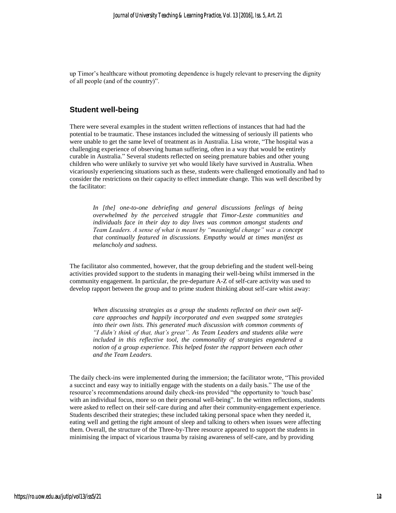up Timor's healthcare without promoting dependence is hugely relevant to preserving the dignity of all people (and of the country)".

#### **Student well-being**

There were several examples in the student written reflections of instances that had had the potential to be traumatic. These instances included the witnessing of seriously ill patients who were unable to get the same level of treatment as in Australia. Lisa wrote, "The hospital was a challenging experience of observing human suffering, often in a way that would be entirely curable in Australia." Several students reflected on seeing premature babies and other young children who were unlikely to survive yet who would likely have survived in Australia. When vicariously experiencing situations such as these, students were challenged emotionally and had to consider the restrictions on their capacity to effect immediate change. This was well described by the facilitator:

*In [the] one-to-one debriefing and general discussions feelings of being overwhelmed by the perceived struggle that Timor-Leste communities and individuals face in their day to day lives was common amongst students and Team Leaders. A sense of what is meant by "meaningful change" was a concept that continually featured in discussions. Empathy would at times manifest as melancholy and sadness.*

The facilitator also commented, however, that the group debriefing and the student well-being activities provided support to the students in managing their well-being whilst immersed in the community engagement. In particular, the pre-departure A-Z of self-care activity was used to develop rapport between the group and to prime student thinking about self-care whist away:

*When discussing strategies as a group the students reflected on their own selfcare approaches and happily incorporated and even swapped some strategies into their own lists. This generated much discussion with common comments of "I didn't think of that, that's great". As Team Leaders and students alike were included in this reflective tool, the commonality of strategies engendered a notion of a group experience. This helped foster the rapport between each other and the Team Leaders.*

The daily check-ins were implemented during the immersion; the facilitator wrote, "This provided a succinct and easy way to initially engage with the students on a daily basis." The use of the resource's recommendations around daily check-ins provided "the opportunity to 'touch base' with an individual focus, more so on their personal well-being". In the written reflections, students were asked to reflect on their self-care during and after their community-engagement experience. Students described their strategies; these included taking personal space when they needed it, eating well and getting the right amount of sleep and talking to others when issues were affecting them. Overall, the structure of the Three-by-Three resource appeared to support the students in minimising the impact of vicarious trauma by raising awareness of self-care, and by providing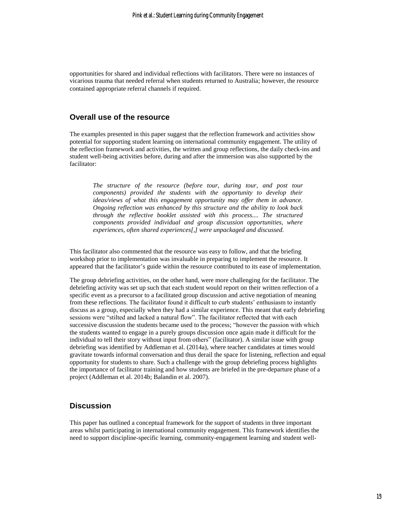opportunities for shared and individual reflections with facilitators. There were no instances of vicarious trauma that needed referral when students returned to Australia; however, the resource contained appropriate referral channels if required.

#### **Overall use of the resource**

The examples presented in this paper suggest that the reflection framework and activities show potential for supporting student learning on international community engagement. The utility of the reflection framework and activities, the written and group reflections, the daily check-ins and student well-being activities before, during and after the immersion was also supported by the facilitator:

*The structure of the resource (before tour, during tour, and post tour components) provided the students with the opportunity to develop their ideas/views of what this engagement opportunity may offer them in advance. Ongoing reflection was enhanced by this structure and the ability to look back through the reflective booklet assisted with this process.... The structured components provided individual and group discussion opportunities, where experiences, often shared experiences[,] were unpackaged and discussed.*

This facilitator also commented that the resource was easy to follow, and that the briefing workshop prior to implementation was invaluable in preparing to implement the resource. It appeared that the facilitator's guide within the resource contributed to its ease of implementation.

The group debriefing activities, on the other hand, were more challenging for the facilitator. The debriefing activity was set up such that each student would report on their written reflection of a specific event as a precursor to a facilitated group discussion and active negotiation of meaning from these reflections. The facilitator found it difficult to curb students' enthusiasm to instantly discuss as a group, especially when they had a similar experience. This meant that early debriefing sessions were "stilted and lacked a natural flow". The facilitator reflected that with each successive discussion the students became used to the process; "however the passion with which the students wanted to engage in a purely groups discussion once again made it difficult for the individual to tell their story without input from others" (facilitator). A similar issue with group debriefing was identified by Addleman et al. (2014a), where teacher candidates at times would gravitate towards informal conversation and thus derail the space for listening, reflection and equal opportunity for students to share. Such a challenge with the group debriefing process highlights the importance of facilitator training and how students are briefed in the pre-departure phase of a project (Addleman et al. 2014b; Balandin et al. 2007).

## **Discussion**

This paper has outlined a conceptual framework for the support of students in three important areas whilst participating in international community engagement. This framework identifies the need to support discipline-specific learning, community-engagement learning and student well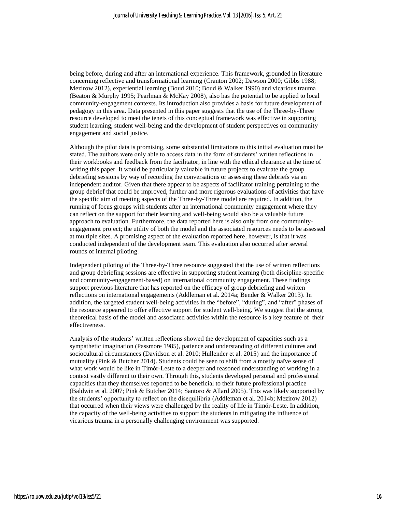being before, during and after an international experience. This framework, grounded in literature concerning reflective and transformational learning (Cranton 2002; Dawson 2000; Gibbs 1988; Mezirow 2012), experiential learning (Boud 2010; Boud & Walker 1990) and vicarious trauma (Beaton & Murphy 1995; Pearlman & McKay 2008), also has the potential to be applied to local community-engagement contexts. Its introduction also provides a basis for future development of pedagogy in this area. Data presented in this paper suggests that the use of the Three-by-Three resource developed to meet the tenets of this conceptual framework was effective in supporting student learning, student well-being and the development of student perspectives on community engagement and social justice.

Although the pilot data is promising, some substantial limitations to this initial evaluation must be stated. The authors were only able to access data in the form of students' written reflections in their workbooks and feedback from the facilitator, in line with the ethical clearance at the time of writing this paper. It would be particularly valuable in future projects to evaluate the group debriefing sessions by way of recording the conversations or assessing these debriefs via an independent auditor. Given that there appear to be aspects of facilitator training pertaining to the group debrief that could be improved, further and more rigorous evaluations of activities that have the specific aim of meeting aspects of the Three-by-Three model are required. In addition, the running of focus groups with students after an international community engagement where they can reflect on the support for their learning and well-being would also be a valuable future approach to evaluation. Furthermore, the data reported here is also only from one communityengagement project; the utility of both the model and the associated resources needs to be assessed at multiple sites. A promising aspect of the evaluation reported here, however, is that it was conducted independent of the development team. This evaluation also occurred after several rounds of internal piloting.

Independent piloting of the Three-by-Three resource suggested that the use of written reflections and group debriefing sessions are effective in supporting student learning (both discipline-specific and community-engagement-based) on international community engagement. These findings support previous literature that has reported on the efficacy of group debriefing and written reflections on international engagements (Addleman et al. 2014a; Bender & Walker 2013). In addition, the targeted student well-being activities in the "before", "during", and "after" phases of the resource appeared to offer effective support for student well-being. We suggest that the strong theoretical basis of the model and associated activities within the resource is a key feature of their effectiveness.

Analysis of the students' written reflections showed the development of capacities such as a sympathetic imagination (Passmore 1985), patience and understanding of different cultures and sociocultural circumstances (Davidson et al. 2010; Hullender et al. 2015) and the importance of mutuality (Pink & Butcher 2014). Students could be seen to shift from a mostly naïve sense of what work would be like in Timór-Leste to a deeper and reasoned understanding of working in a context vastly different to their own. Through this, students developed personal and professional capacities that they themselves reported to be beneficial to their future professional practice (Baldwin et al. 2007; Pink & Butcher 2014; Santoro & Allard 2005). This was likely supported by the students' opportunity to reflect on the disequilibria (Addleman et al. 2014b; Mezirow 2012) that occurred when their views were challenged by the reality of life in Timór-Leste. In addition, the capacity of the well-being activities to support the students in mitigating the influence of vicarious trauma in a personally challenging environment was supported.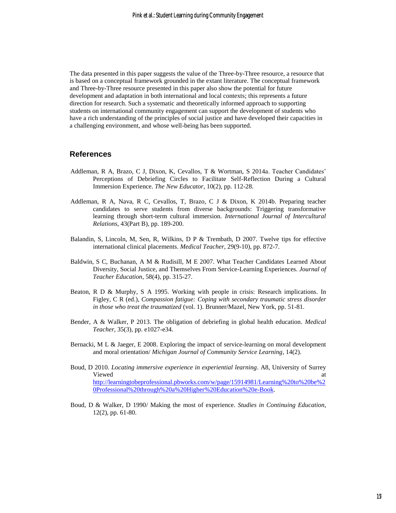The data presented in this paper suggests the value of the Three-by-Three resource, a resource that is based on a conceptual framework grounded in the extant literature. The conceptual framework and Three-by-Three resource presented in this paper also show the potential for future development and adaptation in both international and local contexts; this represents a future direction for research. Such a systematic and theoretically informed approach to supporting students on international community engagement can support the development of students who have a rich understanding of the principles of social justice and have developed their capacities in a challenging environment, and whose well-being has been supported.

#### **References**

- Addleman, R A, Brazo, C J, Dixon, K, Cevallos, T & Wortman, S 2014a. Teacher Candidates' Perceptions of Debriefing Circles to Facilitate Self-Reflection During a Cultural Immersion Experience. *The New Educator*, 10(2), pp. 112-28.
- Addleman, R A, Nava, R C, Cevallos, T, Brazo, C J & Dixon, K 2014b. Preparing teacher candidates to serve students from diverse backgrounds: Triggering transformative learning through short-term cultural immersion. *International Journal of Intercultural Relations*, 43(Part B), pp. 189-200.
- Balandin, S, Lincoln, M, Sen, R, Wilkins, D P & Trembath, D 2007. Twelve tips for effective international clinical placements. *Medical Teacher*, 29(9-10), pp. 872-7.
- Baldwin, S C, Buchanan, A M & Rudisill, M E 2007. What Teacher Candidates Learned About Diversity, Social Justice, and Themselves From Service-Learning Experiences. *Journal of Teacher Education*, 58(4), pp. 315-27.
- Beaton, R D & Murphy, S A 1995. Working with people in crisis: Research implications. In Figley, C R (ed.), *Compassion fatigue: Coping with secondary traumatic stress disorder in those who treat the traumatized* (vol. 1). Brunner/Mazel, New York, pp. 51-81.
- Bender, A & Walker, P 2013. The obligation of debriefing in global health education. *Medical Teacher*, 35(3), pp. e1027-e34.
- Bernacki, M L & Jaeger, E 2008. Exploring the impact of service-learning on moral development and moral orientation/ *Michigan Journal of Community Service Learning*, 14(2).
- Boud, D 2010. *Locating immersive experience in experiential learning*. A8, University of Surrey Viewed at the contract of the contract of the contract of the contract of the contract of the contract of the contract of the contract of the contract of the contract of the contract of the contract of the contract of the [http://learningtobeprofessional.pbworks.com/w/page/15914981/Learning%20to%20be%2](http://learningtobeprofessional.pbworks.com/w/page/15914981/Learning%20to%20be%20Professional%20through%20a%20Higher%20Education%20e-Book) [0Professional%20through%20a%20Higher%20Education%20e-Book.](http://learningtobeprofessional.pbworks.com/w/page/15914981/Learning%20to%20be%20Professional%20through%20a%20Higher%20Education%20e-Book)
- Boud, D & Walker, D 1990/ Making the most of experience. *Studies in Continuing Education*, 12(2), pp. 61-80.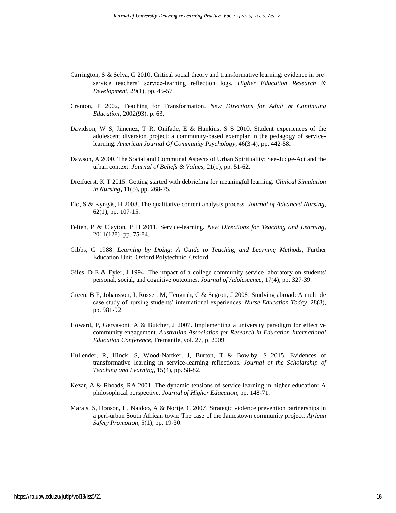- Carrington, S & Selva, G 2010. Critical social theory and transformative learning: evidence in pre‐ service teachers' service‐learning reflection logs. *Higher Education Research & Development*, 29(1), pp. 45-57.
- Cranton, P 2002, Teaching for Transformation. *New Directions for Adult & Continuing Education*, 2002(93), p. 63.
- Davidson, W S, Jimenez, T R, Onifade, E & Hankins, S S 2010. Student experiences of the adolescent diversion project: a community-based exemplar in the pedagogy of servicelearning. *American Journal Of Community Psychology*, 46(3-4), pp. 442-58.
- Dawson, A 2000. The Social and Communal Aspects of Urban Spirituality: See-Judge-Act and the urban context. *Journal of Beliefs & Values*, 21(1), pp. 51-62.
- Dreifuerst, K T 2015. Getting started with debriefing for meaningful learning. *Clinical Simulation in Nursing*, 11(5), pp. 268-75.
- Elo, S & Kyngäs, H 2008. The qualitative content analysis process. *Journal of Advanced Nursing*, 62(1), pp. 107-15.
- Felten, P & Clayton, P H 2011. Service-learning. *New Directions for Teaching and Learning*, 2011(128), pp. 75-84.
- Gibbs, G 1988. *Learning by Doing: A Guide to Teaching and Learning Methods*, Further Education Unit, Oxford Polytechnic, Oxford.
- Giles, D E & Eyler, J 1994. The impact of a college community service laboratory on students' personal, social, and cognitive outcomes. *Journal of Adolescence*, 17(4), pp. 327-39.
- Green, B F, Johansson, I, Rosser, M, Tengnah, C & Segrott, J 2008. Studying abroad: A multiple case study of nursing students' international experiences. *Nurse Education Today*, 28(8), pp. 981-92.
- Howard, P, Gervasoni, A & Butcher, J 2007. Implementing a university paradigm for effective community engagement. *Australian Association for Research in Education International Education Conference,* Fremantle, vol. 27, p. 2009.
- Hullender, R, Hinck, S, Wood-Nartker, J, Burton, T & Bowlby, S 2015. Evidences of transformative learning in service-learning reflections. *Journal of the Scholarship of Teaching and Learning*, 15(4), pp. 58-82.
- Kezar, A & Rhoads, RA 2001. The dynamic tensions of service learning in higher education: A philosophical perspective. *Journal of Higher Education*, pp. 148-71.
- Marais, S, Donson, H, Naidoo, A & Nortje, C 2007. Strategic violence prevention partnerships in a peri-urban South African town: The case of the Jamestown community project. *African Safety Promotion*, 5(1), pp. 19-30.